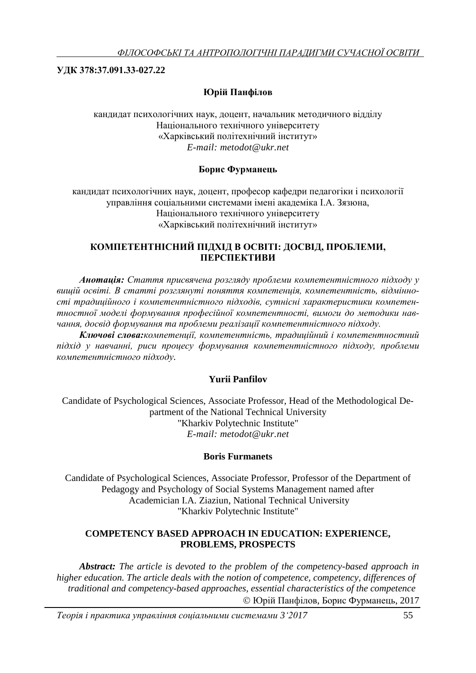# **УДК 378:37.091.33-027.22**

# **Юрій Панфілов**

кандидат психологічних наук, доцент, начальник методичного відділу Національного технічного університету «Харківський політехнічний інститут» *E-mail: [metodot@ukr.net](mailto:metodot@ukr.net)*

## **Борис Фурманець**

кандидат психологічних наук, доцент, професор кафедри педагогіки і психології управління соціальними системами імені академіка І.А. Зязюна, Національного технічного університету «Харківський політехнічний інститут»

## **КОМПЕТЕНТНІСНИЙ ПІДХІД В ОСВІТІ: ДОСВІД, ПРОБЛЕМИ, ПЕРСПЕКТИВИ**

*Анотація: Стаття присвячена розгляду проблеми компетентністного підходу у вищій освіті. В статті розглянуті поняття компетенція, компетентність, відмінності традиційного і компетентністного підходів, сутнісні характеристики компетентностної моделі формування професійної компетентності, вимоги до методики навчання, досвід формування та проблеми реалізації компетентністного підходу.*

*Ключові слова:компетенції, компетентність, традиційний і компетентностний підхід у навчанні, риси процесу формування компетентністного підходу, проблеми компетентністного підходу.*

## **Yurii Panfilov**

Candidate of Psychological Sciences, Associate Professor, Head of the Methodological Department of the National Technical University "Kharkiv Polytechnic Institute" *E-mail: [metodot@ukr.net](mailto:metodot@ukr.net)*

## **Boris Furmanets**

Candidate of Psychological Sciences, Associate Professor, Professor of the Department of Pedagogy and Psychology of Social Systems Management named after Academician I.A. Ziaziun, National Technical University "Kharkiv Polytechnic Institute"

### **COMPETENCY BASED APPROACH IN EDUCATION: EXPERIENCE, PROBLEMS, PROSPECTS**

*Abstract: The article is devoted to the problem of the competency-based approach in higher education. The article deals with the notion of competence, competency, differences of traditional and competency-based approaches, essential characteristics of the competence* Юрій Панфілов, Борис Фурманець, 2017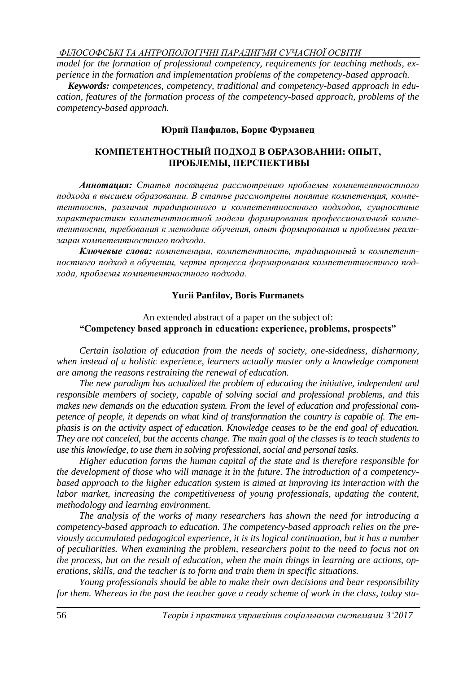*model for the formation of professional competency, requirements for teaching methods, experience in the formation and implementation problems of the competency-based approach.*

*Keywords: competences, competency, traditional and competency-based approach in education, features of the formation process of the competency-based approach, problems of the competency-based approach.*

### **Юрий Панфилов, Борис Фурманец**

### **КОМПЕТЕНТНОСТНЫЙ ПОДХОД В ОБРАЗОВАНИИ: ОПЫТ, ПРОБЛЕМЫ, ПЕРСПЕКТИВЫ**

*Аннотация: Статья посвящена рассмотрению проблемы компетентностного подхода в высшем образовании. В статье рассмотрены понятие компетенция, компетентность, различия традиционного и компетентностного подходов, сущностные характеристики компетентностной модели формирования профессиональной компетентности, требования к методике обучения, опыт формирования и проблемы реализации компетентностного подхода.*

*Ключевые слова: компетенции, компетентность, традиционный и компетентностного подход в обучении, черты процесса формирования компетентностного подхода, проблемы компетентностного подхода.*

#### **Yurii Panfilov, Boris Furmanets**

#### An extended abstract of a paper on the subject of: **"Competency based approach in education: experience, problems, prospects"**

*Certain isolation of education from the needs of society, one-sidedness, disharmony, when instead of a holistic experience, learners actually master only a knowledge component are among the reasons restraining the renewal of education.*

*The new paradigm has actualized the problem of educating the initiative, independent and responsible members of society, capable of solving social and professional problems, and this makes new demands on the education system. From the level of education and professional competence of people, it depends on what kind of transformation the country is capable of. The emphasis is on the activity aspect of education. Knowledge ceases to be the end goal of education. They are not canceled, but the accents change. The main goal of the classes is to teach students to use this knowledge, to use them in solving professional, social and personal tasks.*

*Higher education forms the human capital of the state and is therefore responsible for the development of those who will manage it in the future. The introduction of a competencybased approach to the higher education system is aimed at improving its interaction with the labor market, increasing the competitiveness of young professionals, updating the content, methodology and learning environment.* 

*The analysis of the works of many researchers has shown the need for introducing a competency-based approach to education. The competency-based approach relies on the previously accumulated pedagogical experience, it is its logical continuation, but it has a number of peculiarities. When examining the problem, researchers point to the need to focus not on the process, but on the result of education, when the main things in learning are actions, operations, skills, and the teacher is to form and train them in specific situations.*

*Young professionals should be able to make their own decisions and bear responsibility for them. Whereas in the past the teacher gave a ready scheme of work in the class, today stu-*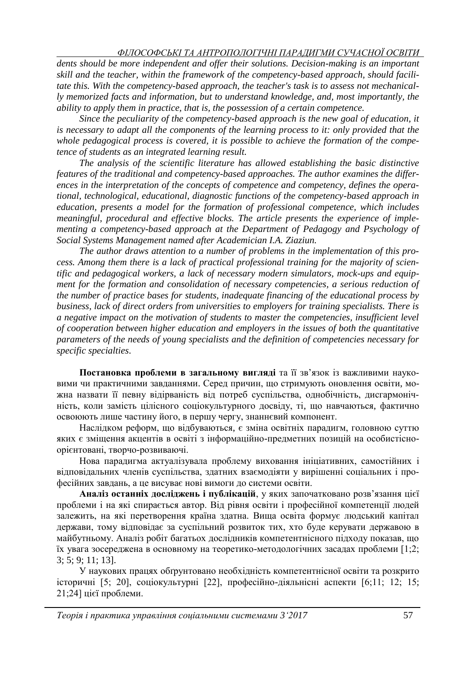*dents should be more independent and offer their solutions. Decision-making is an important skill and the teacher, within the framework of the competency-based approach, should facilitate this. With the competency-based approach, the teacher's task is to assess not mechanically memorized facts and information, but to understand knowledge, and, most importantly, the ability to apply them in practice, that is, the possession of a certain competence.* 

*Since the peculiarity of the competency-based approach is the new goal of education, it is necessary to adapt all the components of the learning process to it: only provided that the whole pedagogical process is covered, it is possible to achieve the formation of the competence of students as an integrated learning result.* 

*The analysis of the scientific literature has allowed establishing the basic distinctive features of the traditional and competency-based approaches. The author examines the differences in the interpretation of the concepts of competence and competency, defines the operational, technological, educational, diagnostic functions of the competency-based approach in education, presents a model for the formation of professional competence, which includes meaningful, procedural and effective blocks. The article presents the experience of implementing a competency-based approach at the Department of Pedagogy and Psychology of Social Systems Management named after Academician I.A. Ziaziun.* 

*The author draws attention to a number of problems in the implementation of this process. Among them there is a lack of practical professional training for the majority of scientific and pedagogical workers, a lack of necessary modern simulators, mock-ups and equipment for the formation and consolidation of necessary competencies, a serious reduction of the number of practice bases for students, inadequate financing of the educational process by business, lack of direct orders from universities to employers for training specialists. There is a negative impact on the motivation of students to master the competencies, insufficient level of cooperation between higher education and employers in the issues of both the quantitative parameters of the needs of young specialists and the definition of competencies necessary for specific specialties*.

**Постановка проблеми в загальному вигляді** та її зв'язок із важливими науковими чи практичними завданнями. Серед причин, що стримують оновлення освіти, можна назвати її певну відірваність від потреб суспільства, однобічність, дисгармонічність, коли замість цілісного соціокультурного досвіду, ті, що навчаються, фактично освоюють лише частину його, в першу чергу, знаннєвий компонент.

Наслідком реформ, що відбуваються, є зміна освітніх парадигм, головною суттю яких є зміщення акцентів в освіті з інформаційно-предметних позицій на особистісноорієнтовані, творчо-розвиваючі.

Нова парадигма актуалізувала проблему виховання ініціативних, самостійних і відповідальних членів суспільства, здатних взаємодіяти у вирішенні соціальних і професійних завдань, а це висуває нові вимоги до системи освіти.

**Аналіз останніх досліджень і публікацій**, у яких започатковано розв'язання цієї проблеми і на які спирається автор. Від рівня освіти і професійної компетенції людей залежить, на які перетворення країна здатна. Вища освіта формує людський капітал держави, тому відповідає за суспільний розвиток тих, хто буде керувати державою в майбутньому. Аналіз робіт багатьох дослідників компетентнісного підходу показав, що їх увага зосереджена в основному на теоретико-методологічних засадах проблеми [1;2; 3; 5; 9; 11; 13].

У наукових працях обґрунтовано необхідність компетентнісної освіти та розкрито історичні [5; 20], соціокультурні [22], професійно-діяльнісні аспекти [6;11; 12; 15; 21;24] цієї проблеми.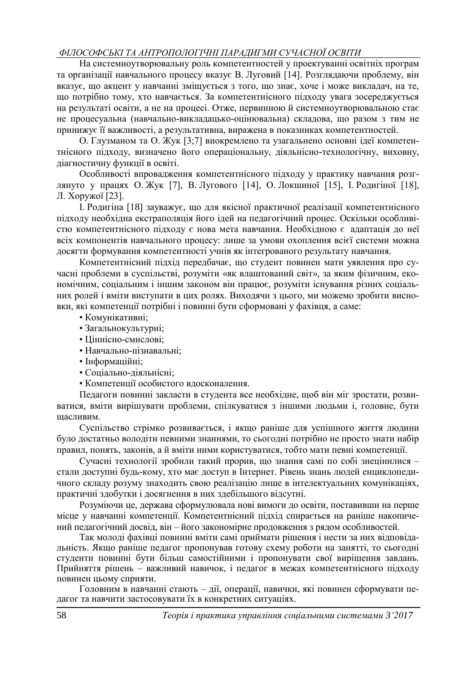На системноутворювальну роль компетентностей у проектуванні освітніх програм та організації навчального процесу вказує В. Луговий [14]. Розглядаючи проблему, він вказує, що акцент у навчанні зміщується з того, що знає, хоче і може викладач, на те, що потрібно тому, хто навчається. За компетентнісного підходу увага зосереджується на результаті освіти, а не на процесі. Отже, первинною й системноутворювальною стає не процесуальна (навчально-викладацько-оцінювальна) складова, що разом з тим не принижує її важливості, а результативна, виражена в показниках компетентностей.

О. Глузманом та О. Жук [3;7] виокремлено та узагальнено основні ідеї компетентнісного підходу, визначено його операціональну, діяльнісно-технологічну, виховну, діагностичну функції в освіті.

Особливості впровадження компетентнісного підходу у практику навчання розглянуто у працях О. Жук [7], В. Лугового [14], О. Локшиної [15], І. Родигіної [18], Л. Хоружої [23].

І. Родигіна [18] зауважує, що для якісної практичної реалізації компетентнісного підходу необхідна екстраполяція його ідей на педагогічний процес. Оскільки особливістю компетентнісного підходу є нова мета навчання. Необхідною є адаптація до неї всіх компонентів навчального процесу: лише за умови охоплення всієї системи можна досягти формування компетентності учнів як інтегрованого результату навчання.

Компетентнісний підхід передбачає, що студент повинен мати уявлення про сучасні проблеми в суспільстві, розуміти «як влаштований світ», за яким фізичним, економічним, соціальним і іншим законом він працює, розуміти існування різних соціальних ролей і вміти виступати в цих ролях. Виходячи з цього, ми можемо зробити висновки, які компетенції потрібні і повинні бути сформовані у фахівця, а саме:

- Комунікативні;
- Загальнокультурні;
- Ціннісно-смислові;
- Навчально-пізнавальні;
- Інформаційні;
- Соціально-діяльнісні;
- Компетенції особистого вдосконалення.

Педагоги повинні закласти в студента все необхідне, щоб він міг зростати, розвиватися, вміти вирішувати проблеми, спілкуватися з іншими людьми і, головне, бути щасливим.

Суспільство стрімко розвивається, і якщо раніше для успішного життя людини було достатньо володіти певними знаннями, то сьогодні потрібно не просто знати набір правил, понять, законів, а й вміти ними користуватися, тобто мати певні компетенції.

Сучасні технології зробили такий прорив, що знання самі по собі знецінилися – стали доступні будь-кому, хто має доступ в Інтернет. Рівень знань людей енциклопедичного складу розуму знаходить свою реалізацію лише в інтелектуальних комунікаціях, практичні здобутки і досягнення в них здебільшого відсутні.

Розуміючи це, держава сформулювала нові вимоги до освіти, поставивши на перше місце у навчанні компетенції. Компетентнісний підхід спирається на раніше накопичений педагогічний досвід, він – його закономірне продовження з рядом особливостей.

Так молоді фахівці повинні вміти самі приймати рішення і нести за них відповідальність. Якщо раніше педагог пропонував готову схему роботи на занятті, то сьогодні студенти повинні бути більш самостійними і пропонувати свої вирішення завдань. Прийняття рішень – важливий навичок, і педагог в межах компетентнісного підходу повинен цьому сприяти.

Головним в навчанні стають – дії, операції, навички, які повинен сформувати педагог та навчити застосовувати їх в конкретних ситуаціях.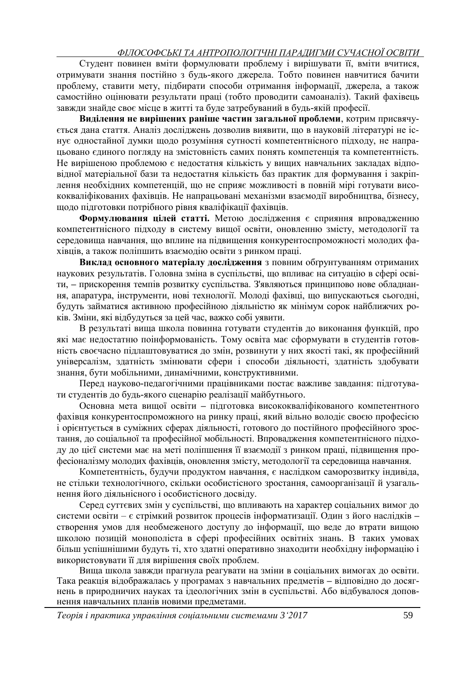Студент повинен вміти формулювати проблему і вирішувати її, вміти вчитися, отримувати знання постійно з будь-якого джерела. Тобто повинен навчитися бачити проблему, ставити мету, підбирати способи отримання інформації, джерела, а також самостійно оцінювати результати праці (тобто проводити самоаналіз). Такий фахівець завжди знайде своє місце в житті та буде затребуваний в будь-якій професії.

**Виділення не вирішених раніше частин загальної проблеми**, котрим присвячується дана стаття. Аналіз досліджень дозволив виявити, що в науковій літературі не існує одностайної думки щодо розуміння сутності компетентнісного підходу, не напрацьовано єдиного погляду на змістовність самих понять компетенція та компетентність. Не вирішеною проблемою є недостатня кількість у вищих навчальних закладах відповідної матеріальної бази та недостатня кількість баз практик для формування і закріплення необхідних компетенцій, що не сприяє можливості в повній мірі готувати висококваліфікованих фахівців. Не напрацьовані механізми взаємодії виробництва, бізнесу, щодо підготовки потрібного рівня кваліфікації фахівців.

**Формулювання цілей статті.** Метою дослідження є сприяння впровадженню компетентнісного підходу в систему вищої освіти, оновленню змісту, методології та середовища навчання, що вплине на підвищення конкурентоспроможності молодих фахівців, а також поліпшить взаємодію освіти з ринком праці.

**Виклад основного матеріалу дослідження** з повним обґрунтуванням отриманих наукових результатів. Головна зміна в суспільстві, що впливає на ситуацію в сфері освіти, **–** прискорення темпів розвитку суспільства. З'являються принципово нове обладнання, апаратура, інструменти, нові технології. Молоді фахівці, що випускаються сьогодні, будуть займатися активною професійною діяльністю як мінімум сорок найближчих років. Зміни, які відбудуться за цей час, важко собі уявити.

В результаті вища школа повинна готувати студентів до виконання функцій, про які має недостатню поінформованість. Тому освіта має сформувати в студентів готовність своєчасно підлаштовуватися до змін, розвинути у них якості такі, як професійний універсалізм, здатність змінювати сфери і способи діяльності, здатність здобувати знання, бути мобільними, динамічними, конструктивними.

Перед науково-педагогічними працівниками постає важливе завдання: підготувати студентів до будь-якого сценарію реалізації майбутнього.

Основна мета вищої освіти **–** підготовка висококваліфікованого компетентного фахівця конкурентоспроможного на ринку праці, який вільно володіє своєю професією і орієнтується в суміжних сферах діяльності, готового до постійного професійного зростання, до соціальної та професійної мобільності. Впровадження компетентнісного підходу до цієї системи має на меті поліпшення її взаємодії з ринком праці, підвищення професіоналізму молодих фахівців, оновлення змісту, методології та середовища навчання.

Компетентність, будучи продуктом навчання, є наслідком саморозвитку індивіда, не стільки технологічного, скільки особистісного зростання, самоорганізації й узагальнення його діяльнісного і особистісного досвіду.

Серед суттєвих змін у суспільстві, що впливають на характер соціальних вимог до системи освіти – є стрімкий розвиток процесів інформатизації. Один з його наслідків **–** створення умов для необмеженого доступу до інформації, що веде до втрати вищою школою позицій монополіста в сфері професійних освітніх знань. В таких умовах більш успішнішими будуть ті, хто здатні оперативно знаходити необхідну інформацію і використовувати її для вирішення своїх проблем.

Вища школа завжди прагнула реагувати на зміни в соціальних вимогах до освіти. Така реакція відображалась у програмах з навчальних предметів **–** відповідно до досягнень в природничих науках та ідеологічних змін в суспільстві. Або відбувалося доповнення навчальних планів новими предметами.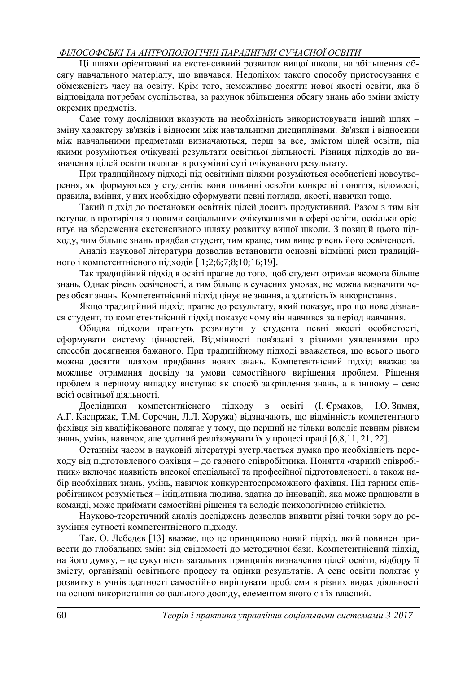Ці шляхи орієнтовані на екстенсивний розвиток вищої школи, на збільшення обсягу навчального матеріалу, що вивчався. Недоліком такого способу пристосування є обмеженість часу на освіту. Крім того, неможливо досягти нової якості освіти, яка б відповідала потребам суспільства, за рахунок збільшення обсягу знань або зміни змісту окремих предметів.

Саме тому дослідники вказують на необхідність використовувати інший шлях **–** зміну характеру зв'язків і відносин між навчальними дисциплінами. Зв'язки і відносини між навчальними предметами визначаються, перш за все, змістом цілей освіти, під якими розуміються очікувані результати освітньої діяльності. Різниця підходів до визначення цілей освіти полягає в розумінні суті очікуваного результату.

При традиційному підході під освітніми цілями розуміються особистісні новоутворення, які формуються у студентів: вони повинні освоїти конкретні поняття, відомості, правила, вміння, у них необхідно сформувати певні погляди, якості, навички тощо.

Такий підхід до постановки освітніх цілей досить продуктивний. Разом з тим він вступає в протиріччя з новими соціальними очікуваннями в сфері освіти, оскільки орієнтує на збереження екстенсивного шляху розвитку вищої школи. З позицій цього підходу, чим більше знань придбав студент, тим краще, тим вище рівень його освіченості.

Аналіз наукової літератури дозволив встановити основні відмінні риси традиційного і компетентнісного підходів [ 1;2;6;7;8;10;16;19].

Так традиційний підхід в освіті прагне до того, щоб студент отримав якомога більше знань. Однак рівень освіченості, а тим більше в сучасних умовах, не можна визначити через обсяг знань. Компетентнісний підхід цінує не знання, а здатність їх використання.

Якщо традиційний підхід прагне до результату, який показує, про що нове дізнався студент, то компетентнісний підхід показує чому він навчився за період навчання.

Обидва підходи прагнуть розвинути у студента певні якості особистості, сформувати систему цінностей. Відмінності пов'язані з різними уявленнями про способи досягнення бажаного. При традиційному підході вважається, що всього цього можна досягти шляхом придбання нових знань. Компетентнісний підхід вважає за можливе отримання досвіду за умови самостійного вирішення проблем. Рішення проблем в першому випадку виступає як спосіб закріплення знань, а в іншому **–** сенс всієї освітньої діяльності.

Дослідники компетентнісного підходу в освіті (І. Єрмаков, І.О. Зимня, А.Г. Каспржак, Т.М. Сорочан, Л.Л. Хоружа) відзначають, що відмінність компетентного фахівця від кваліфікованого полягає у тому, що перший не тільки володіє певним рівнем знань, умінь, навичок, але здатний реалізовувати їх у процесі праці [6,8,11, 21, 22].

Останнім часом в науковій літературі зустрічається думка про необхідність переходу від підготовленого фахівця – до гарного співробітника. Поняття «гарний співробітник» включає наявність високої спеціальної та професійної підготовленості, а також набір необхідних знань, умінь, навичок конкурентоспроможного фахівця. Під гарним співробітником розуміється – ініціативна людина, здатна до інновацій, яка може працювати в команді, може приймати самостійні рішення та володіє психологічною стійкістю.

Науково-теоретичний аналіз досліджень дозволив виявити різні точки зору до розуміння сутності компетентнісного підходу.

Так, О. Лебедєв [13] вважає, що це принципово новий підхід, який повинен привести до глобальних змін: від свідомості до методичної бази. Компетентнісний підхід, на його думку, – це сукупність загальних принципів визначення цілей освіти, відбору її змісту, організації освітнього процесу та оцінки результатів. А сенс освіти полягає у розвитку в учнів здатності самостійно вирішувати проблеми в різних видах діяльності на основі використання соціального досвіду, елементом якого є і їх власний.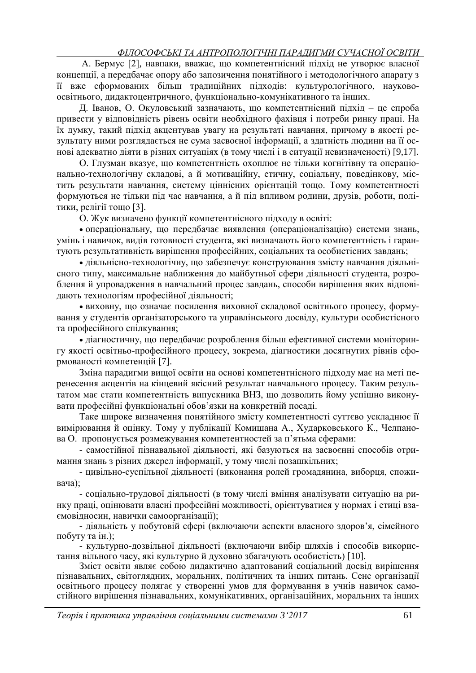А. Бермус [2], навпаки, вважає, що компетентнісний підхід не утворює власної концепції, а передбачає опору або запозичення понятійного і методологічного апарату з її вже сформованих більш традиційних підходів: культурологічного, науковоосвітнього, дидактоцентричного, функціонально-комунікативного та інших.

Д. Іванов, О. Окуловський зазначають, що компетентнісний підхід – це спроба привести у відповідність рівень освіти необхідного фахівця і потреби ринку праці. На їх думку, такий підхід акцентував увагу на результаті навчання, причому в якості результату ними розглядається не сума засвоєної інформації, а здатність людини на її основі адекватно діяти в різних ситуаціях (в тому числі і в ситуації невизначеності) [9,17].

О. Глузман вказує, що компетентність охоплює не тільки когнітівну та операціонально-технологічну складові, а й мотиваційну, етичну, соціальну, поведінкову, містить результати навчання, систему ціннісних орієнтацій тощо. Тому компетентності формуються не тільки під час навчання, а й під впливом родини, друзів, роботи, політики, релігії тощо [3].

О. Жук визначено функції компетентнісного підходу в освіті:

 операціональну, що передбачає виявлення (операціоналізацію) системи знань, умінь і навичок, видів готовності студента, які визначають його компетентність і гарантують результативність вирішення професійних, соціальних та особистісних завдань;

 діяльнісно-технологічну, що забезпечує конструювання змісту навчання діяльнісного типу, максимальне наближення до майбутньої сфери діяльності студента, розроблення й упровадження в навчальний процес завдань, способи вирішення яких відповідають технологіям професійної діяльності;

 виховну, що означає посилення виховної складової освітнього процесу, формування у студентів організаторського та управлінського досвіду, культури особистісного та професійного спілкування;

 діагностичну, що передбачає розроблення більш ефективної системи моніторингу якості освітньо-професійного процесу, зокрема, діагностики досягнутих рівнів сформованості компетенцій [7].

Зміна парадигми вищої освіти на основі компетентнісного підходу має на меті перенесення акцентів на кінцевий якісний результат навчального процесу. Таким результатом має стати компетентність випускника ВНЗ, що дозволить йому успішно виконувати професійні функціональні обов'язки на конкретній посаді.

Таке широке визначення понятійного змісту компетентності суттєво ускладнює її вимірювання й оцінку. Тому у публікації Комишана А., Хударковського К., Челпанова О. пропонується розмежування компетентностей за п'ятьма сферами:

- самостійної пізнавальної діяльності, які базуються на засвоєнні способів отримання знань з різних джерел інформації, у тому числі позашкільних;

- цивільно-суспільної діяльності (виконання ролей громадянина, виборця, споживача);

- соціально-трудової діяльності (в тому числі вміння аналізувати ситуацію на ринку праці, оцінювати власні професійні можливості, орієнтуватися у нормах і етиці взаємовідносин, навички самоорганізації);

- діяльність у побутовій сфері (включаючи аспекти власного здоров'я, сімейного побуту та ін.);

- культурно-дозвільної діяльності (включаючи вибір шляхів і способів використання вільного часу, які культурно й духовно збагачують особистість) [10].

Зміст освіти являє собою дидактично адаптований соціальний досвід вирішення пізнавальних, світоглядних, моральних, політичних та інших питань. Сенс організації освітнього процесу полягає у створенні умов для формування в учнів навичок самостійного вирішення пізнавальних, комунікативних, організаційних, моральних та інших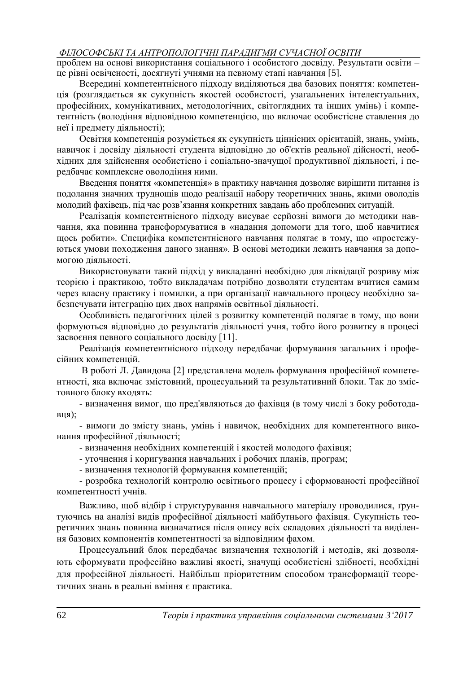проблем на основі використання соціального і особистого досвіду. Результати освіти – це рівні освіченості, досягнуті учнями на певному етапі навчання [5].

Всередині компетентнісного підходу виділяються два базових поняття: компетенція (розглядається як сукупність якостей особистості, узагальнених інтелектуальних, професійних, комунікативних, методологічних, світоглядних та інших умінь) і компетентність (володіння відповідною компетенцією, що включає особистісне ставлення до неї і предмету діяльності);

Освітня компетенція розуміється як сукупність ціннісних орієнтацій, знань, умінь, навичок і досвіду діяльності студента відповідно до об'єктів реальної дійсності, необхідних для здійснення особистісно і соціально-значущої продуктивної діяльності, і передбачає комплексне оволодіння ними.

Введення поняття «компетенція» в практику навчання дозволяє вирішити питання із подолання значних труднощів щодо реалізації набору теоретичних знань, якими оволодів молодий фахівець, під час розв'язання конкретних завдань або проблемних ситуацій.

Реалізація компетентнісного підходу висуває серйозні вимоги до методики навчання, яка повинна трансформуватися в «надання допомоги для того, щоб навчитися щось робити». Специфіка компетентнісного навчання полягає в тому, що «простежуються умови походження даного знання». В основі методики лежить навчання за допомогою діяльності.

Використовувати такий підхід у викладанні необхідно для ліквідації розриву між теорією і практикою, тобто викладачам потрібно дозволяти студентам вчитися самим через власну практику і помилки, а при організації навчального процесу необхідно забезпечувати інтеграцію цих двох напрямів освітньої діяльності.

Особливість педагогічних цілей з розвитку компетенцій полягає в тому, що вони формуються відповідно до результатів діяльності учня, тобто його розвитку в процесі засвоєння певного соціального досвіду [11].

Реалізація компетентнісного підходу передбачає формування загальних і професійних компетенцій.

В роботі Л. Давидова [2] представлена модель формування професійної компетентності, яка включає змістовний, процесуальний та результативний блоки. Так до змістовного блоку входять:

- визначення вимог, що пред'являються до фахівця (в тому числі з боку роботодавця);

- вимоги до змісту знань, умінь і навичок, необхідних для компетентного виконання професійної діяльності;

- визначення необхідних компетенцій і якостей молодого фахівця;

- уточнення і коригування навчальних і робочих планів, програм;

- визначення технологій формування компетенцій;

- розробка технологій контролю освітнього процесу і сформованості професійної компетентності учнів.

Важливо, щоб відбір і структурування навчального матеріалу проводилися, ґрунтуючись на аналізі видів професійної діяльності майбутнього фахівця. Сукупність теоретичних знань повинна визначатися після опису всіх складових діяльності та виділення базових компонентів компетентності за відповідним фахом.

Процесуальний блок передбачає визначення технологій і методів, які дозволяють сформувати професійно важливі якості, значущі особистісні здібності, необхідні для професійної діяльності. Найбільш пріоритетним способом трансформації теоретичних знань в реальні вміння є практика.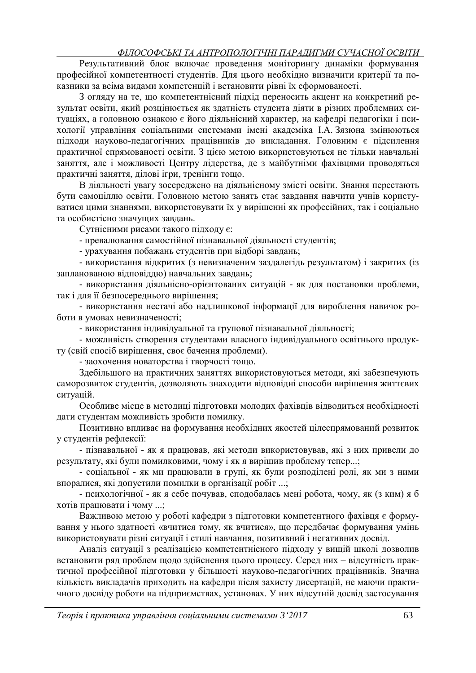Результативний блок включає проведення моніторингу динаміки формування професійної компетентності студентів. Для цього необхідно визначити критерії та показники за всіма видами компетенцій і встановити рівні їх сформованості.

З огляду на те, що компетентнісний підхід переносить акцент на конкретний результат освіти, який розцінюється як здатність студента діяти в різних проблемних ситуаціях, а головною ознакою є його діяльнісний характер, на кафедрі педагогіки і психології управління соціальними системами імені академіка І.А. Зязюна змінюються підходи науково-педагогічних працівників до викладання. Головним є підсилення практичної спрямованості освіти. З цією метою використовуються не тільки навчальні заняття, але і можливості Центру лідерства, де з майбутніми фахівцями проводяться практичні заняття, ділові ігри, тренінги тощо.

В діяльності увагу зосереджено на діяльнісному змісті освіти. Знання перестають бути самоціллю освіти. Головною метою занять стає завдання навчити учнів користуватися цими знаннями, використовувати їх у вирішенні як професійних, так і соціально та особистісно значущих завдань.

Сутнісними рисами такого підходу є:

- превалювання самостійної пізнавальної діяльності студентів;

- урахування побажань студентів при відборі завдань;

- використання відкритих (з невизначеним заздалегідь результатом) і закритих (із запланованою відповіддю) навчальних завдань;

- використання діяльнісно-орієнтованих ситуацій - як для постановки проблеми, так і для її безпосереднього вирішення;

- використання нестачі або надлишкової інформації для вироблення навичок роботи в умовах невизначеності;

- використання індивідуальної та групової пізнавальної діяльності;

- можливість створення студентами власного індивідуального освітнього продукту (свій спосіб вирішення, своє бачення проблеми).

- заохочення новаторства і творчості тощо.

Здебільшого на практичних заняттях використовуються методи, які забезпечують саморозвиток студентів, дозволяють знаходити відповідні способи вирішення життєвих ситуацій.

Особливе місце в методиці підготовки молодих фахівців відводиться необхідності дати студентам можливість зробити помилку.

Позитивно впливає на формування необхідних якостей цілеспрямований розвиток у студентів рефлексії:

- пізнавальної - як я працював, які методи використовував, які з них привели до результату, які були помилковими, чому і як я вирішив проблему тепер...;

- соціальної - як ми працювали в групі, як були розподілені ролі, як ми з ними впоралися, які допустили помилки в організації робіт ...;

- психологічної - як я себе почував, сподобалась мені робота, чому, як (з ким) я б хотів працювати і чому ...;

Важливою метою у роботі кафедри з підготовки компетентного фахівця є формування у нього здатності «вчитися тому, як вчитися», що передбачає формування умінь використовувати різні ситуації і стилі навчання, позитивний і негативних досвід.

Аналіз ситуації з реалізацією компетентнісного підходу у вищій школі дозволив встановити ряд проблем щодо здійснення цього процесу. Серед них – відсутність практичної професійної підготовки у більшості науково-педагогічних працівників. Значна кількість викладачів приходить на кафедри після захисту дисертацій, не маючи практичного досвіду роботи на підприємствах, установах. У них відсутній досвід застосування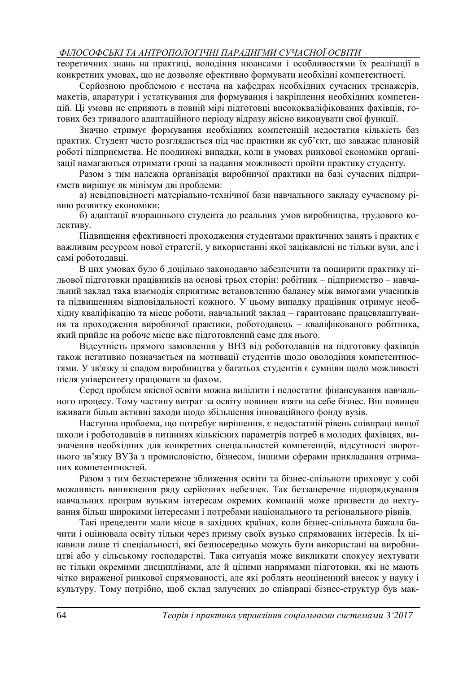теоретичних знань на практиці, володіння нюансами і особливостями їх реалізації в конкретних умовах, що не дозволяє ефективно формувати необхідні компетентності.

Серйозною проблемою є нестача на кафедрах необхідних сучасних тренажерів, макетів, апаратури і устаткування для формування і закріплення необхідних компетенцій. Ці умови не сприяють в повній мірі підготовці висококваліфікованих фахівців, готових без тривалого адаптаційного періоду відразу якісно виконувати свої функції.

Значно стримує формування необхідних компетенцій недостатня кількість баз практик. Студент часто розглядається під час практики як суб'єкт, що заважає плановій роботі підприємства. Не поодинокі випадки, коли в умовах ринкової економіки організації намагаються отримати гроші за надання можливості пройти практику студенту.

Разом з тим належна організація виробничої практики на базі сучасних підприємств вирішує як мінімум дві проблеми:

а) невідповідності матеріально-технічної бази навчального закладу сучасному рівню розвитку економіки;

б) адаптації вчорашнього студента до реальних умов виробництва, трудового колективу.

Підвищення ефективності проходження студентами практичних занять і практик є важливим ресурсом нової стратегії, у використанні якої зацікавлені не тільки вузи, але і самі роботодавці.

В цих умовах було б доцільно законодавчо забезпечити та поширити практику цільової підготовки працівників на основі трьох сторін: робітник – підприємство – навчальний заклад така взаємодія сприятиме встановленню балансу між вимогами учасників та підвищенням відповідальності кожного. У цьому випадку працівник отримує необхідну кваліфікацію та місце роботи, навчальний заклад – гарантоване працевлаштування та проходження виробничої практики, роботодавець – кваліфікованого робітника, який прийде на робоче місце вже підготовлений саме для нього.

Відсутність прямого замовлення у ВНЗ від роботодавців на підготовку фахівців також негативно позначається на мотивації студентів щодо оволодіння компетентностями. У зв'язку зі спадом виробництва у багатьох студентів є сумніви щодо можливості після університету працювати за фахом.

Серед проблем якісної освіти можна виділити і недостатнє фінансування навчального процесу. Тому частину витрат за освіту повинен взяти на себе бізнес. Він повинен вживати більш активні заходи щодо збільшення інноваційного фонду вузів.

Наступна проблема, що потребує вирішення, є недостатній рівень співпраці вищої школи і роботодавців в питаннях кількісних параметрів потреб в молодих фахівцях, визначення необхідних для конкретних спеціальностей компетенцій, відсутності зворотнього зв'язку ВУЗа з промисловістю, бізнесом, іншими сферами прикладання отриманих компетентностей.

Разом з тим беззастережне зближення освіти та бізнес-спільноти приховує у собі можливість виникнення ряду серйозних небезпек. Так беззаперечне підпорядкування навчальних програм вузьким інтересам окремих компаній може призвести до нехтування більш широкими інтересами і потребами національного та регіонального рівнів.

Такі прецеденти мали місце в західних країнах, коли бізнес-спільнота бажала бачити і оцінювала освіту тільки через призму своїх вузько спрямованих інтересів. Їх цікавили лише ті спеціальності, які безпосередньо можуть бути використані на виробництві або у сільському господарстві. Така ситуація може викликати спокусу нехтувати не тільки окремими дисциплінами, але й цілими напрямами підготовки, які не мають чітко вираженої ринкової спрямованості, але які роблять неоціненний внесок у науку і культуру. Тому потрібно, щоб склад залучених до співпраці бізнес-структур був мак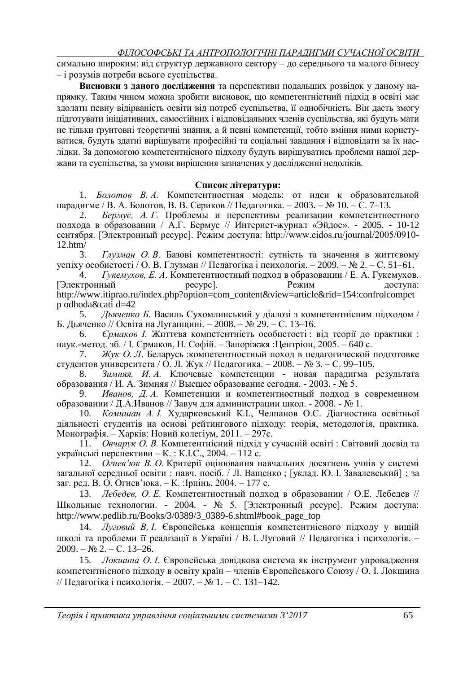симально широким: від структур державного сектору – до середнього та малого бізнесу – і розумів потреби всього суспільства.

**Висновки з даного дослідження** та перспективи подальших розвідок у даному напрямку. Таким чином можна зробити висновок, що компетентністний підхід в освіті має здолати певну відірваність освіти від потреб суспільства, її однобічність. Він дасть змогу підготувати ініціативних, самостійних і відповідальних членів суспільства, які будуть мати не тільки ґрунтовні теоретичні знання, а й певні компетенції, тобто вміння ними користуватися, будуть здатні вирішувати професійні та соціальні завдання і відповідати за їх наслідки. За допомогою компетентнісного підходу будуть вирішуватись проблеми нашої держави та суспільства, за умови вирішення зазначених у дослідженні недоліків.

### **Список літератури:**

1. *Болотов В. А.* Компетентностная модель: от идеи к образовательной парадигме / В. А. Болотов, В. В. Сериков // Педагогика. – 2003. – № 10. – С. 7–13.

2. *Бермус, А. Г.* Проблемы и перспективы реализации компетентностного подхода в образовании / А.Г. Бермус // Интернет-журнал «Эйдос». - 2005. - 10-12 сентября. [Электронный ресурс]. Режим доступа: http://www.eidos.ru/journal/2005/0910- 12.htm/

3. *Глузман О. В.* Базові компетентності: сутність та значення в життєвому успіху особистості / О. В. Глузман // Педагогіка і психологія. – 2009. – № 2. – С. 51–61.

4. *Гукемухов, Е. А*. Компетентностный подход в образовании / Е. А. Гукемухов. [Электронный ресурс]. Режим доступа: http://www.itiprao.ru/index.php?option=com\_content&view=article&rid=154:confrolcompet p odhoda&cati d=42

5. *Дьяченко Б.* Василь Сухомлинський у діалозі з компетентнісним підходом / Б. Дьяченко // Освіта на Луганщині. – 2008. – № 29. – С. 13–16.

6. *Єрмаков І.* Життєва компетентність особистості : від теорії до практики : наук.-метод. зб. / І. Єрмаков, Н. Софій. – Запоріжжя :Центріон, 2005. – 640 с.

7. *Жук О. Л*. Беларусь :компетентностный поход в педагогической подготовке студентов университета / О. Л. Жук // Педагогика. – 2008. – № 3. – С. 99–105.

8. *Зимняя, И. А.* Ключевые компетенции - новая парадигма результата образования / И. А. Зимняя // Высшее образование сегодня. - 2003. - № 5.

9. *Иванов, Д. А.* Компетенции и компетентностный подход в современном образовании / Д.А.Иванов // Завуч для администрации школ. - 2008. - № 1.

10. *Комишан А. І.* Хударковський К.І., Челпанов О.С. Діагностика освітньої діяльності студентів на основі рейтингового підходу: теорія, методологія, практика. Монографія. – Харків: Новий колегіум, 2011. – 297с.

11. *Овчарук О. В.* Компетентнісний підхід у сучасній освіті : Світовий досвід та українські перспективи – К. : К.І.С., 2004. – 112 с.

12. *Огнев'юк В. О.* Критерії оцінювання навчальних досягнень учнів у системі загальної середньої освіти : навч. посіб. / Л. Ващенко ; [уклад. Ю. І. Завалевський] ; за заг. ред. В. О. Огнев'юка. – К. :Ірпінь, 2004. – 177 с.

13. *Лебедев, О. Е.* Компетентностный подход в образовании / О.Е. Лебедев // Школьные технологии. - 2004. - № 5. [Электронный ресурс]. Режим доступа: [http://www.pedlib.ru/Books/3/0389/3\\_0389-6.shtml#book\\_page\\_top](http://www.pedlib.ru/Books/3/0389/3_0389-6.shtml#book_page_top)

14. *Луговий В. І.* Європейська концепція компетентнісного підходу у вищій школі та проблеми її реалізації в Україні / В. І. Луговий // Педагогіка і психологія. –  $2009. - N_2 2. - C. 13-26.$ 

15. *Локшина О. І*. Європейська довідкова система як інструмент упровадження компетентнісного підходу в освіту країн – членів Європейського Союзу / О. І. Локшина // Педагогіка і психологія. – 2007. – № 1. – С. 131–142.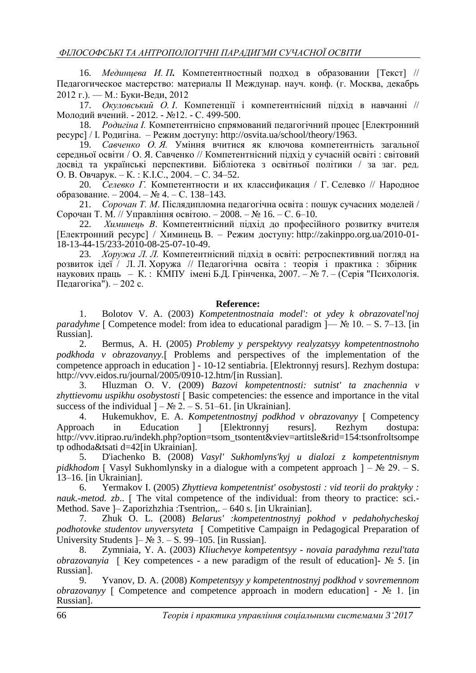16. *Мединцева И. П.* Компетентностный подход в образовании [Текст] // Педагогическое мастерство: материалы II Междунар. науч. конф. (г. Москва, декабрь 2012 г.). — М.: Буки-Веди, 2012

17. *Окуловський О. І*. Компетенції і компетентнісний підхід в навчанні // Молодий вчений. - 2012. - №12. - С. 499-500.

18. *Родигіна І.* Компетентнісно спрямований педагогічний процес [Електронний ресурс] / І. Родигіна. – Режим доступу: [http://osvita.ua/school/theory/1963.](http://osvita.ua/school/theory/1963)

19. *Савченко О. Я.* Уміння вчитися як ключова компетентність загальної середньої освіти / О. Я. Савченко // Компетентнісний підхід у сучасній освіті : світовий досвід та українські перспективи. Бібліотека з освітньої політики / за заг. ред. О. В. Овчарук. – К. : К.І.С., 2004. – С. 34–52.

20. *Селевко Г.* Компетентности и их классификация / Г. Селевко // Народное образование. – 2004. – № 4. – С. 138–143.

21. *Сорочан Т. М*. Післядипломна педагогічна освіта : пошук сучасних моделей / Сорочан Т. М. // Управління освітою. – 2008. – № 16. – С. 6–10.

22. *Химинець В*. Компетентнісний підхід до професійного розвитку вчителя [Електронний ресурс] / Химинець В. – Режим доступу: [http://zakinppo.org.ua/2010-01-](http://zakinppo.org.ua/2010-01-18-13-44-15/233-2010-08-25-07-10-49) [18-13-44-15/233-2010-08-25-07-10-49.](http://zakinppo.org.ua/2010-01-18-13-44-15/233-2010-08-25-07-10-49)

23. *Хоружа Л. Л.* Компетентнісний підхід в освіті: ретроспективний погляд на розвиток ідеї / Л. Л. Хоружа // Педагогічна освіта : теорія і практика : збірник наукових праць – К. : КМПУ імені Б.Д. Грінченка, 2007. – № 7. – (Серія "Психологія. Педагогіка"). – 202 с.

#### **Reference:**

1. Bolotov V. A. (2003) *Kompetentnostnaia model': ot ydey k obrazovatel'noj paradyhme*  $\lceil$  Competence model: from idea to educational paradigm  $\lceil -\mathcal{N}e \rceil$  10. – S. 7–13.  $\lceil$ in Russian].

2. Bermus, A. H. (2005) *Problemy y perspektyvy realyzatsyy kompetentnostnoho podkhoda v obrazovanyy*. Problems and perspectives of the implementation of the competence approach in education - 10-12 sentiabria. [Elektronnyj resurs]. Rezhym dostupa: http://vvv.eidos.ru/journal/2005/0910-12.htm/[in Russian].

3. Hluzman O. V. (2009) *Bazovi kompetentnosti: sutnist' ta znachennia v*  zhyttievomu uspikhu osobystosti [ Basic competencies: the essence and importance in the vital success of the individual  $]-\mathcal{N}_2 2. - S. 51-61$ . [in Ukrainian].

4. Hukemukhov, E. A. *Kompetentnostnyj podkhod v obrazovanyy* [ Competency Approach in Education [Elektronnyj resurs]. Rezhym dostupa: http://vvv.itiprao.ru/indekh.php?option=tsom\_tsontent&viev=artitsle&rid=154:tsonfroltsompe tp odhoda&tsati d=42[in Ukrainian].

5. D'iachenko B. (2008) *Vasyl' Sukhomlyns'kyj u dialozi z kompetentnisnym pidkhodom*  $\lceil$  Vasyl Sukhomlynsky in a dialogue with a competent approach  $\rceil - N_2 \cdot 29. - S$ . 13–16. [in Ukrainian].

6. Yermakov I. (2005) *Zhyttieva kompetentnist' osobystosti : vid teorii do praktyky : nauk.-metod. zb..* [ The vital competence of the individual: from theory to practice: sci.-Method. Save – Zaporizhzhia :Tsentrion,. – 640 s. [in Ukrainian].

7. Zhuk O. L. (2008) *Belarus' :kompetentnostnyj pokhod v pedahohycheskoj podhotovke studentov unyversyteta* Competitive Campaign in Pedagogical Preparation of University Students  $]-\mathbb{N} \times 3. - S.$  99–105. [in Russian].

8. Zymniaia, Y. A. (2003) *Kliuchevye kompetentsyy - novaia paradyhma rezul'tata obrazovanyia*  $\left[$  Key competences - a new paradigm of the result of education<sup>-</sup> No 5.  $\left[$ in Russian].

9. Yvanov, D. A. (2008) *Kompetentsyy y kompetentnostnyj podkhod v sovremennom obrazovany*  $\sqrt{ }$  Competence and competence approach in modern education  $\sqrt{ }$  - N° 1. [in] Russian].